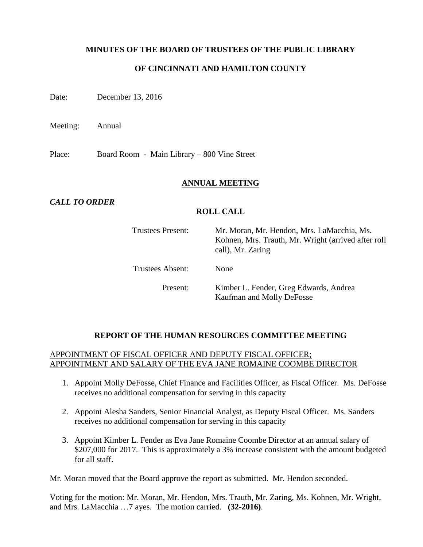# **MINUTES OF THE BOARD OF TRUSTEES OF THE PUBLIC LIBRARY**

# **OF CINCINNATI AND HAMILTON COUNTY**

Date: December 13, 2016

Meeting: Annual

Place: Board Room - Main Library – 800 Vine Street

### **ANNUAL MEETING**

# *CALL TO ORDER*

# **ROLL CALL**

| <b>Trustees Present:</b> | Mr. Moran, Mr. Hendon, Mrs. LaMacchia, Ms.<br>Kohnen, Mrs. Trauth, Mr. Wright (arrived after roll<br>call), Mr. Zaring |
|--------------------------|------------------------------------------------------------------------------------------------------------------------|
| <b>Trustees Absent:</b>  | None                                                                                                                   |
| Present:                 | Kimber L. Fender, Greg Edwards, Andrea<br>Kaufman and Molly DeFosse                                                    |

### **REPORT OF THE HUMAN RESOURCES COMMITTEE MEETING**

# APPOINTMENT OF FISCAL OFFICER AND DEPUTY FISCAL OFFICER; APPOINTMENT AND SALARY OF THE EVA JANE ROMAINE COOMBE DIRECTOR

- 1. Appoint Molly DeFosse, Chief Finance and Facilities Officer, as Fiscal Officer. Ms. DeFosse receives no additional compensation for serving in this capacity
- 2. Appoint Alesha Sanders, Senior Financial Analyst, as Deputy Fiscal Officer. Ms. Sanders receives no additional compensation for serving in this capacity
- 3. Appoint Kimber L. Fender as Eva Jane Romaine Coombe Director at an annual salary of \$207,000 for 2017. This is approximately a 3% increase consistent with the amount budgeted for all staff.

Mr. Moran moved that the Board approve the report as submitted. Mr. Hendon seconded.

Voting for the motion: Mr. Moran, Mr. Hendon, Mrs. Trauth, Mr. Zaring, Ms. Kohnen, Mr. Wright, and Mrs. LaMacchia …7 ayes. The motion carried. **(32-2016)**.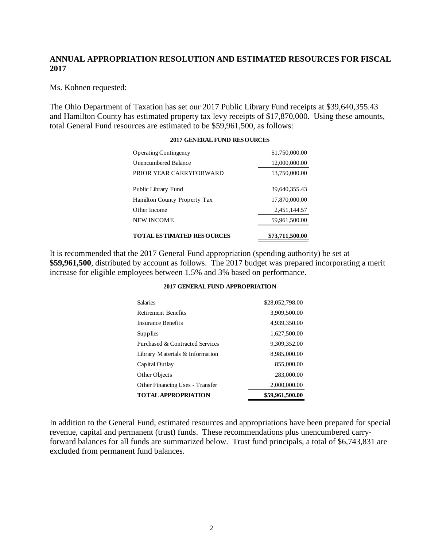# **ANNUAL APPROPRIATION RESOLUTION AND ESTIMATED RESOURCES FOR FISCAL 2017**

Ms. Kohnen requested:

The Ohio Department of Taxation has set our 2017 Public Library Fund receipts at \$39,640,355.43 and Hamilton County has estimated property tax levy receipts of \$17,870,000. Using these amounts, total General Fund resources are estimated to be \$59,961,500, as follows:

| <b>TOTAL ESTIMATED RESOURCES</b>    | \$73,711,500.00 |
|-------------------------------------|-----------------|
| NEW INCOME                          | 59,961,500.00   |
| Other Income                        | 2,451,144.57    |
| <b>Hamilton County Property Tax</b> | 17,870,000.00   |
| Public Library Fund                 | 39,640,355.43   |
| PRIOR YEAR CARRYFORWARD             | 13,750,000.00   |
| <b>Unencumbered Balance</b>         | 12,000,000.00   |
| <b>Operating Contingency</b>        | \$1,750,000.00  |
|                                     |                 |

#### **2017 GENERAL FUND RESOURCES**

It is recommended that the 2017 General Fund appropriation (spending authority) be set at **\$59,961,500**, distributed by account as follows. The 2017 budget was prepared incorporating a merit increase for eligible employees between 1.5% and 3% based on performance.

#### **2017 GENERAL FUND APPROPRIATION**

| <b>Salaries</b>                 | \$28,052,798.00 |
|---------------------------------|-----------------|
| <b>Retirement Benefits</b>      | 3,909,500.00    |
| Insurance Benefits              | 4,939,350.00    |
| Supplies                        | 1,627,500.00    |
| Purchased & Contracted Services | 9,309,352.00    |
| Library Materials & Information | 8,985,000.00    |
| Capital Outlay                  | 855,000.00      |
| Other Objects                   | 283,000.00      |
| Other Financing Uses - Transfer | 2,000,000.00    |
| <b>TOTAL APPROPRIATION</b>      | \$59,961,500.00 |

In addition to the General Fund, estimated resources and appropriations have been prepared for special revenue, capital and permanent (trust) funds. These recommendations plus unencumbered carryforward balances for all funds are summarized below. Trust fund principals, a total of \$6,743,831 are excluded from permanent fund balances.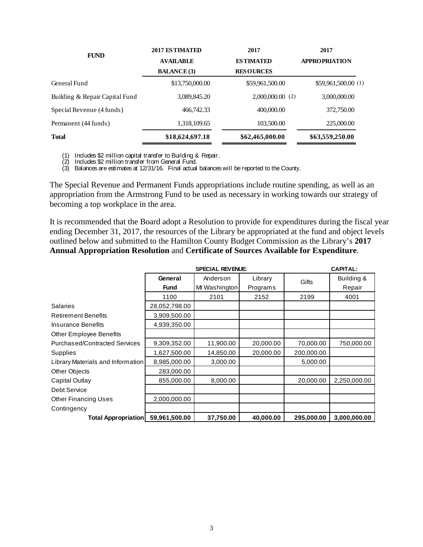| <b>FUND</b>                    | 2017 ESTIMATED     | 2017               | 2017                 |  |
|--------------------------------|--------------------|--------------------|----------------------|--|
|                                | <b>AVAILABLE</b>   | <b>ESTIMATED</b>   | <b>APPROPRIATION</b> |  |
|                                | <b>BALANCE</b> (3) | <b>RESOURCES</b>   |                      |  |
| General Fund                   | \$13,750,000.00    | \$59,961,500.00    | \$59,961,500.00(1)   |  |
| Building & Repair Capital Fund | 3,089,845.20       | $2,000,000.00$ (2) | 3,000,000.00         |  |
| Special Revenue (4 funds)      | 466,742.33         | 400,000.00         | 372,750.00           |  |
| Permanent (44 funds)           | 1,318,109.65       | 103,500.00         | 225,000.00           |  |
| <b>Total</b>                   | \$18,624,697.18    | \$62,465,000.00    | \$63,559,250.00      |  |

(1) Includes \$2 million capital transfer to Building & Repair.

(2) Includes \$2 million transfer from General Fund.

(3) Balances are estimates at 12/31/16. Final actual balances will be reported to the County.

The Special Revenue and Permanent Funds appropriations include routine spending, as well as an appropriation from the Armstrong Fund to be used as necessary in working towards our strategy of becoming a top workplace in the area.

It is recommended that the Board adopt a Resolution to provide for expenditures during the fiscal year ending December 31, 2017, the resources of the Library be appropriated at the fund and object levels outlined below and submitted to the Hamilton County Budget Commission as the Library's **2017 Annual Appropriation Resolution** and **Certificate of Sources Available for Expenditure**.

|                                      |               |               | <b>CAPITAL:</b> |            |              |
|--------------------------------------|---------------|---------------|-----------------|------------|--------------|
|                                      | General       | Anderson      | Library         | Gifts      | Building &   |
|                                      | <b>Fund</b>   | Mt Washington | Programs        |            | Repair       |
|                                      | 1100          | 2101          | 2152            | 2199       | 4001         |
| <b>Salaries</b>                      | 28,052,798.00 |               |                 |            |              |
| <b>Retirement Benefits</b>           | 3,909,500.00  |               |                 |            |              |
| Insurance Benefits                   | 4,939,350.00  |               |                 |            |              |
| <b>Other Employee Benefits</b>       |               |               |                 |            |              |
| <b>Purchased/Contracted Services</b> | 9,309,352.00  | 11,900.00     | 20,000.00       | 70,000.00  | 750,000.00   |
| Supplies                             | 1,627,500.00  | 14,850.00     | 20,000.00       | 200,000.00 |              |
| Library Materials and Information    | 8,985,000.00  | 3,000.00      |                 | 5,000.00   |              |
| Other Objects                        | 283,000.00    |               |                 |            |              |
| Capital Outlay                       | 855,000.00    | 8,000.00      |                 | 20,000.00  | 2,250,000.00 |
| Debt Service                         |               |               |                 |            |              |
| <b>Other Financing Uses</b>          | 2,000,000.00  |               |                 |            |              |
| Contingency                          |               |               |                 |            |              |
| <b>Total Appropriation</b>           | 59,961,500.00 | 37,750.00     | 40,000.00       | 295,000.00 | 3,000,000.00 |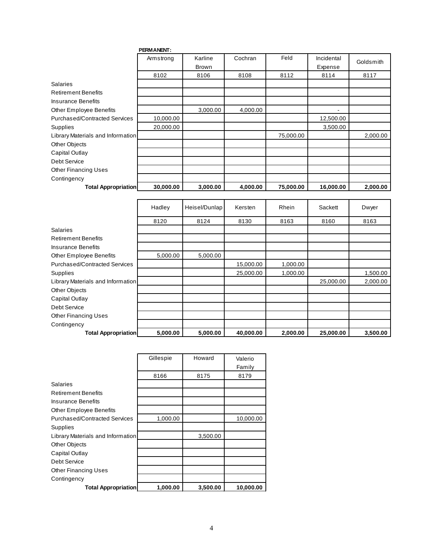|                                      | PERMANENT: |              |          |           |                |           |
|--------------------------------------|------------|--------------|----------|-----------|----------------|-----------|
|                                      | Armstrong  | Karline      | Cochran  | Feld      | Incidental     | Goldsmith |
|                                      |            | <b>Brown</b> |          |           | Expense        |           |
|                                      | 8102       | 8106         | 8108     | 8112      | 8114           | 8117      |
| <b>Salaries</b>                      |            |              |          |           |                |           |
| <b>Retirement Benefits</b>           |            |              |          |           |                |           |
| Insurance Benefits                   |            |              |          |           |                |           |
| Other Employee Benefits              |            | 3,000.00     | 4,000.00 |           | $\overline{a}$ |           |
| <b>Purchased/Contracted Services</b> | 10,000.00  |              |          |           | 12,500.00      |           |
| Supplies                             | 20,000.00  |              |          |           | 3,500.00       |           |
| Library Materials and Information    |            |              |          | 75,000.00 |                | 2,000.00  |
| Other Objects                        |            |              |          |           |                |           |
| Capital Outlay                       |            |              |          |           |                |           |
| Debt Service                         |            |              |          |           |                |           |
| <b>Other Financing Uses</b>          |            |              |          |           |                |           |
| Contingency                          |            |              |          |           |                |           |
| <b>Total Appropriation</b>           | 30,000.00  | 3,000.00     | 4,000.00 | 75,000.00 | 16,000.00      | 2,000.00  |

|                                      | Hadley   | Heisel/Dunlap | Kersten   | Rhein    | Sackett   | Dwyer    |
|--------------------------------------|----------|---------------|-----------|----------|-----------|----------|
|                                      | 8120     | 8124          | 8130      | 8163     | 8160      | 8163     |
| <b>Salaries</b>                      |          |               |           |          |           |          |
| <b>Retirement Benefits</b>           |          |               |           |          |           |          |
| Insurance Benefits                   |          |               |           |          |           |          |
| Other Employee Benefits              | 5,000.00 | 5,000.00      |           |          |           |          |
| <b>Purchased/Contracted Services</b> |          |               | 15,000.00 | 1,000.00 |           |          |
| Supplies                             |          |               | 25,000.00 | 1,000.00 |           | 1,500.00 |
| Library Materials and Information    |          |               |           |          | 25,000.00 | 2,000.00 |
| Other Objects                        |          |               |           |          |           |          |
| Capital Outlay                       |          |               |           |          |           |          |
| Debt Service                         |          |               |           |          |           |          |
| <b>Other Financing Uses</b>          |          |               |           |          |           |          |
| Contingency                          |          |               |           |          |           |          |
| <b>Total Appropriation</b>           | 5,000.00 | 5,000.00      | 40,000.00 | 2,000.00 | 25,000.00 | 3,500.00 |

|                                   | Gillespie | Howard   | Valerio   |
|-----------------------------------|-----------|----------|-----------|
|                                   |           |          | Family    |
|                                   | 8166      | 8175     | 8179      |
| <b>Salaries</b>                   |           |          |           |
| Retirement Benefits               |           |          |           |
| Insurance Benefits                |           |          |           |
| Other Employee Benefits           |           |          |           |
| Purchased/Contracted Services     | 1,000.00  |          | 10,000.00 |
| Supplies                          |           |          |           |
| Library Materials and Information |           | 3,500.00 |           |
| Other Objects                     |           |          |           |
| Capital Outlay                    |           |          |           |
| Debt Service                      |           |          |           |
| Other Financing Uses              |           |          |           |
| Contingency                       |           |          |           |
| <b>Total Appropriation</b>        | 1,000.00  | 3,500.00 | 10,000.00 |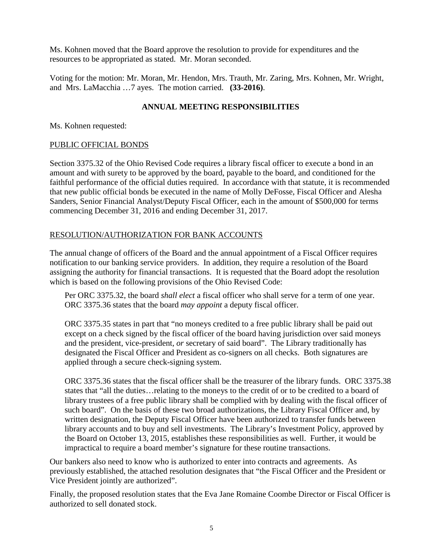Ms. Kohnen moved that the Board approve the resolution to provide for expenditures and the resources to be appropriated as stated. Mr. Moran seconded.

Voting for the motion: Mr. Moran, Mr. Hendon, Mrs. Trauth, Mr. Zaring, Mrs. Kohnen, Mr. Wright, and Mrs. LaMacchia …7 ayes. The motion carried. **(33-2016)**.

# **ANNUAL MEETING RESPONSIBILITIES**

Ms. Kohnen requested:

# PUBLIC OFFICIAL BONDS

Section 3375.32 of the Ohio Revised Code requires a library fiscal officer to execute a bond in an amount and with surety to be approved by the board, payable to the board, and conditioned for the faithful performance of the official duties required. In accordance with that statute, it is recommended that new public official bonds be executed in the name of Molly DeFosse, Fiscal Officer and Alesha Sanders, Senior Financial Analyst/Deputy Fiscal Officer, each in the amount of \$500,000 for terms commencing December 31, 2016 and ending December 31, 2017.

# RESOLUTION/AUTHORIZATION FOR BANK ACCOUNTS

The annual change of officers of the Board and the annual appointment of a Fiscal Officer requires notification to our banking service providers. In addition, they require a resolution of the Board assigning the authority for financial transactions. It is requested that the Board adopt the resolution which is based on the following provisions of the Ohio Revised Code:

Per ORC 3375.32, the board *shall elect* a fiscal officer who shall serve for a term of one year. ORC 3375.36 states that the board *may appoint* a deputy fiscal officer.

ORC 3375.35 states in part that "no moneys credited to a free public library shall be paid out except on a check signed by the fiscal officer of the board having jurisdiction over said moneys and the president, vice-president, *or* secretary of said board". The Library traditionally has designated the Fiscal Officer and President as co-signers on all checks. Both signatures are applied through a secure check-signing system.

ORC 3375.36 states that the fiscal officer shall be the treasurer of the library funds. ORC 3375.38 states that "all the duties…relating to the moneys to the credit of or to be credited to a board of library trustees of a free public library shall be complied with by dealing with the fiscal officer of such board". On the basis of these two broad authorizations, the Library Fiscal Officer and, by written designation, the Deputy Fiscal Officer have been authorized to transfer funds between library accounts and to buy and sell investments. The Library's Investment Policy, approved by the Board on October 13, 2015, establishes these responsibilities as well. Further, it would be impractical to require a board member's signature for these routine transactions.

Our bankers also need to know who is authorized to enter into contracts and agreements. As previously established, the attached resolution designates that "the Fiscal Officer and the President or Vice President jointly are authorized".

Finally, the proposed resolution states that the Eva Jane Romaine Coombe Director or Fiscal Officer is authorized to sell donated stock.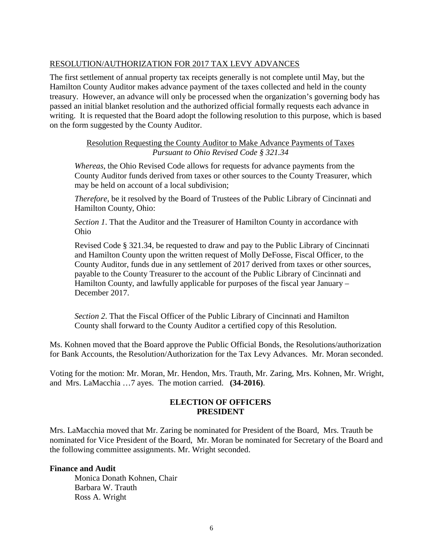# RESOLUTION/AUTHORIZATION FOR 2017 TAX LEVY ADVANCES

The first settlement of annual property tax receipts generally is not complete until May, but the Hamilton County Auditor makes advance payment of the taxes collected and held in the county treasury. However, an advance will only be processed when the organization's governing body has passed an initial blanket resolution and the authorized official formally requests each advance in writing. It is requested that the Board adopt the following resolution to this purpose, which is based on the form suggested by the County Auditor.

> Resolution Requesting the County Auditor to Make Advance Payments of Taxes *Pursuant to Ohio Revised Code § 321.34*

*Whereas*, the Ohio Revised Code allows for requests for advance payments from the County Auditor funds derived from taxes or other sources to the County Treasurer, which may be held on account of a local subdivision;

*Therefore*, be it resolved by the Board of Trustees of the Public Library of Cincinnati and Hamilton County, Ohio:

*Section 1*. That the Auditor and the Treasurer of Hamilton County in accordance with Ohio

Revised Code § 321.34, be requested to draw and pay to the Public Library of Cincinnati and Hamilton County upon the written request of Molly DeFosse, Fiscal Officer, to the County Auditor, funds due in any settlement of 2017 derived from taxes or other sources, payable to the County Treasurer to the account of the Public Library of Cincinnati and Hamilton County, and lawfully applicable for purposes of the fiscal year January – December 2017.

*Section 2*. That the Fiscal Officer of the Public Library of Cincinnati and Hamilton County shall forward to the County Auditor a certified copy of this Resolution.

Ms. Kohnen moved that the Board approve the Public Official Bonds, the Resolutions/authorization for Bank Accounts, the Resolution/Authorization for the Tax Levy Advances. Mr. Moran seconded.

Voting for the motion: Mr. Moran, Mr. Hendon, Mrs. Trauth, Mr. Zaring, Mrs. Kohnen, Mr. Wright, and Mrs. LaMacchia …7 ayes. The motion carried. **(34-2016)**.

# **ELECTION OF OFFICERS PRESIDENT**

Mrs. LaMacchia moved that Mr. Zaring be nominated for President of the Board, Mrs. Trauth be nominated for Vice President of the Board, Mr. Moran be nominated for Secretary of the Board and the following committee assignments. Mr. Wright seconded.

### **Finance and Audit**

Monica Donath Kohnen, Chair Barbara W. Trauth Ross A. Wright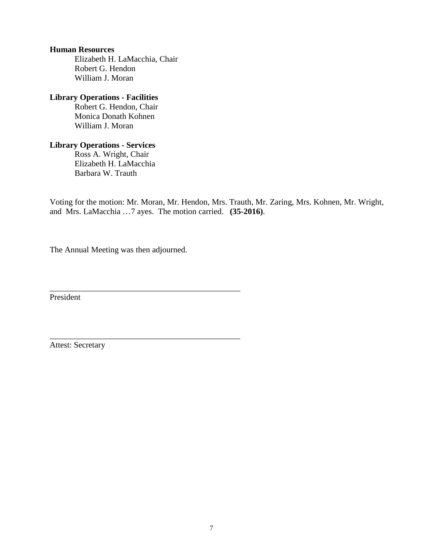#### **Human Resources**

Elizabeth H. LaMacchia, Chair Robert G. Hendon William J. Moran

### **Library Operations - Facilities**

Robert G. Hendon, Chair Monica Donath Kohnen William J. Moran

# **Library Operations - Services**

Ross A. Wright, Chair Elizabeth H. LaMacchia Barbara W. Trauth

Voting for the motion: Mr. Moran, Mr. Hendon, Mrs. Trauth, Mr. Zaring, Mrs. Kohnen, Mr. Wright, and Mrs. LaMacchia …7 ayes. The motion carried. **(35-2016)**.

The Annual Meeting was then adjourned.

\_\_\_\_\_\_\_\_\_\_\_\_\_\_\_\_\_\_\_\_\_\_\_\_\_\_\_\_\_\_\_\_\_\_\_\_\_\_\_\_\_\_\_\_\_\_

\_\_\_\_\_\_\_\_\_\_\_\_\_\_\_\_\_\_\_\_\_\_\_\_\_\_\_\_\_\_\_\_\_\_\_\_\_\_\_\_\_\_\_\_\_\_

President

Attest: Secretary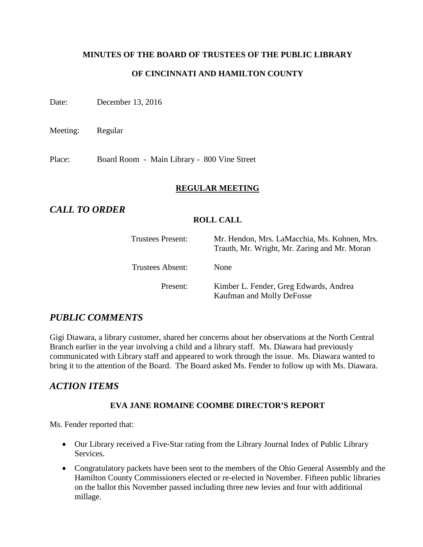# **MINUTES OF THE BOARD OF TRUSTEES OF THE PUBLIC LIBRARY OF CINCINNATI AND HAMILTON COUNTY**

Date: December 13, 2016

Meeting: Regular

Place: Board Room - Main Library - 800 Vine Street

# **REGULAR MEETING**

# *CALL TO ORDER*

# **ROLL CALL**

| Trustees Present: | Mr. Hendon, Mrs. LaMacchia, Ms. Kohnen, Mrs.<br>Trauth, Mr. Wright, Mr. Zaring and Mr. Moran |
|-------------------|----------------------------------------------------------------------------------------------|
| Trustees Absent:  | <b>None</b>                                                                                  |
| Present:          | Kimber L. Fender, Greg Edwards, Andrea<br>Kaufman and Molly DeFosse                          |

# *PUBLIC COMMENTS*

Gigi Diawara, a library customer, shared her concerns about her observations at the North Central Branch earlier in the year involving a child and a library staff. Ms. Diawara had previously communicated with Library staff and appeared to work through the issue. Ms. Diawara wanted to bring it to the attention of the Board. The Board asked Ms. Fender to follow up with Ms. Diawara.

# *ACTION ITEMS*

# **EVA JANE ROMAINE COOMBE DIRECTOR'S REPORT**

Ms. Fender reported that:

- Our Library received a Five-Star rating from the Library Journal Index of Public Library **Services**
- Congratulatory packets have been sent to the members of the Ohio General Assembly and the Hamilton County Commissioners elected or re-elected in November. Fifteen public libraries on the ballot this November passed including three new levies and four with additional millage.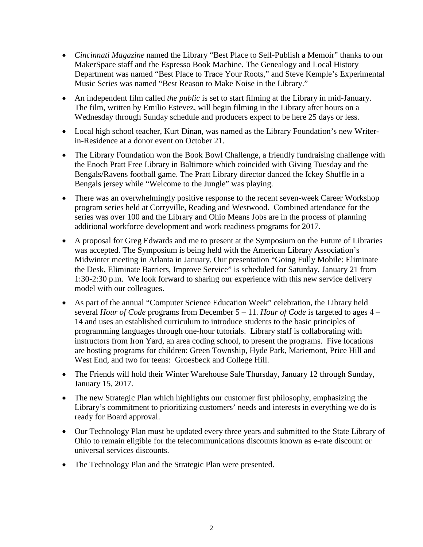- *Cincinnati Magazine* named the Library "Best Place to Self-Publish a Memoir" thanks to our MakerSpace staff and the Espresso Book Machine. The Genealogy and Local History Department was named "Best Place to Trace Your Roots," and Steve Kemple's Experimental Music Series was named "Best Reason to Make Noise in the Library."
- An independent film called *the public* is set to start filming at the Library in mid-January. The film, written by Emilio Estevez, will begin filming in the Library after hours on a Wednesday through Sunday schedule and producers expect to be here 25 days or less.
- Local high school teacher, Kurt Dinan, was named as the Library Foundation's new Writerin-Residence at a donor event on October 21.
- The Library Foundation won the Book Bowl Challenge, a friendly fundraising challenge with the Enoch Pratt Free Library in Baltimore which coincided with Giving Tuesday and the Bengals/Ravens football game. The Pratt Library director danced the Ickey Shuffle in a Bengals jersey while "Welcome to the Jungle" was playing.
- There was an overwhelmingly positive response to the recent seven-week Career Workshop program series held at Corryville, Reading and Westwood. Combined attendance for the series was over 100 and the Library and Ohio Means Jobs are in the process of planning additional workforce development and work readiness programs for 2017.
- A proposal for Greg Edwards and me to present at the Symposium on the Future of Libraries was accepted. The Symposium is being held with the American Library Association's Midwinter meeting in Atlanta in January. Our presentation "Going Fully Mobile: Eliminate the Desk, Eliminate Barriers, Improve Service" is scheduled for Saturday, January 21 from 1:30-2:30 p.m. We look forward to sharing our experience with this new service delivery model with our colleagues.
- As part of the annual "Computer Science Education Week" celebration, the Library held several *Hour of Code* programs from December 5 – 11. *Hour of Code* is targeted to ages 4 – 14 and uses an established curriculum to introduce students to the basic principles of programming languages through one-hour tutorials. Library staff is collaborating with instructors from Iron Yard, an area coding school, to present the programs. Five locations are hosting programs for children: Green Township, Hyde Park, Mariemont, Price Hill and West End, and two for teens: Groesbeck and College Hill.
- The Friends will hold their Winter Warehouse Sale Thursday, January 12 through Sunday, January 15, 2017.
- The new Strategic Plan which highlights our customer first philosophy, emphasizing the Library's commitment to prioritizing customers' needs and interests in everything we do is ready for Board approval.
- Our Technology Plan must be updated every three years and submitted to the State Library of Ohio to remain eligible for the telecommunications discounts known as e-rate discount or universal services discounts.
- The Technology Plan and the Strategic Plan were presented.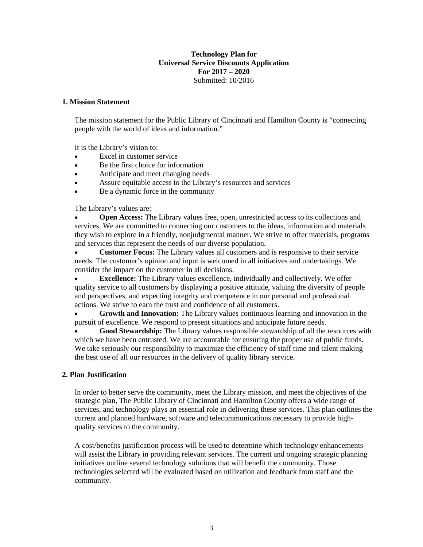#### **Technology Plan for Universal Service Discounts Application For 2017 – 2020** Submitted: 10/2016

#### **1. Mission Statement**

The mission statement for the Public Library of Cincinnati and Hamilton County is "connecting people with the world of ideas and information."

It is the Library's vision to:

- Excel in customer service
- Be the first choice for information
- Anticipate and meet changing needs
- Assure equitable access to the Library's resources and services
- Be a dynamic force in the community

The Library's values are:

• **Open Access:** The Library values free, open, unrestricted access to its collections and services. We are committed to connecting our customers to the ideas, information and materials they wish to explore in a friendly, nonjudgmental manner. We strive to offer materials, programs and services that represent the needs of our diverse population.

• **Customer Focus:** The Library values all customers and is responsive to their service needs. The customer's opinion and input is welcomed in all initiatives and undertakings. We consider the impact on the customer in all decisions.

• **Excellence:** The Library values excellence, individually and collectively. We offer quality service to all customers by displaying a positive attitude, valuing the diversity of people and perspectives, and expecting integrity and competence in our personal and professional actions. We strive to earn the trust and confidence of all customers.

• **Growth and Innovation:** The Library values continuous learning and innovation in the pursuit of excellence. We respond to present situations and anticipate future needs.

• **Good Stewardship:** The Library values responsible stewardship of all the resources with which we have been entrusted. We are accountable for ensuring the proper use of public funds. We take seriously our responsibility to maximize the efficiency of staff time and talent making the best use of all our resources in the delivery of quality library service.

#### **2. Plan Justification**

In order to better serve the community, meet the Library mission, and meet the objectives of the strategic plan, The Public Library of Cincinnati and Hamilton County offers a wide range of services, and technology plays an essential role in delivering these services. This plan outlines the current and planned hardware, software and telecommunications necessary to provide highquality services to the community.

A cost/benefits justification process will be used to determine which technology enhancements will assist the Library in providing relevant services. The current and ongoing strategic planning initiatives outline several technology solutions that will benefit the community. Those technologies selected will be evaluated based on utilization and feedback from staff and the community.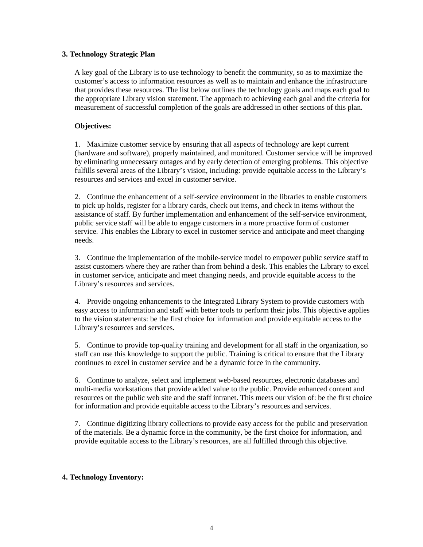#### **3. Technology Strategic Plan**

A key goal of the Library is to use technology to benefit the community, so as to maximize the customer's access to information resources as well as to maintain and enhance the infrastructure that provides these resources. The list below outlines the technology goals and maps each goal to the appropriate Library vision statement. The approach to achieving each goal and the criteria for measurement of successful completion of the goals are addressed in other sections of this plan.

#### **Objectives:**

1. Maximize customer service by ensuring that all aspects of technology are kept current (hardware and software), properly maintained, and monitored. Customer service will be improved by eliminating unnecessary outages and by early detection of emerging problems. This objective fulfills several areas of the Library's vision, including: provide equitable access to the Library's resources and services and excel in customer service.

2. Continue the enhancement of a self-service environment in the libraries to enable customers to pick up holds, register for a library cards, check out items, and check in items without the assistance of staff. By further implementation and enhancement of the self-service environment, public service staff will be able to engage customers in a more proactive form of customer service. This enables the Library to excel in customer service and anticipate and meet changing needs.

3. Continue the implementation of the mobile-service model to empower public service staff to assist customers where they are rather than from behind a desk. This enables the Library to excel in customer service, anticipate and meet changing needs, and provide equitable access to the Library's resources and services.

4. Provide ongoing enhancements to the Integrated Library System to provide customers with easy access to information and staff with better tools to perform their jobs. This objective applies to the vision statements: be the first choice for information and provide equitable access to the Library's resources and services.

5. Continue to provide top-quality training and development for all staff in the organization, so staff can use this knowledge to support the public. Training is critical to ensure that the Library continues to excel in customer service and be a dynamic force in the community.

6. Continue to analyze, select and implement web-based resources, electronic databases and multi-media workstations that provide added value to the public. Provide enhanced content and resources on the public web site and the staff intranet. This meets our vision of: be the first choice for information and provide equitable access to the Library's resources and services.

7. Continue digitizing library collections to provide easy access for the public and preservation of the materials. Be a dynamic force in the community, be the first choice for information, and provide equitable access to the Library's resources, are all fulfilled through this objective.

#### **4. Technology Inventory:**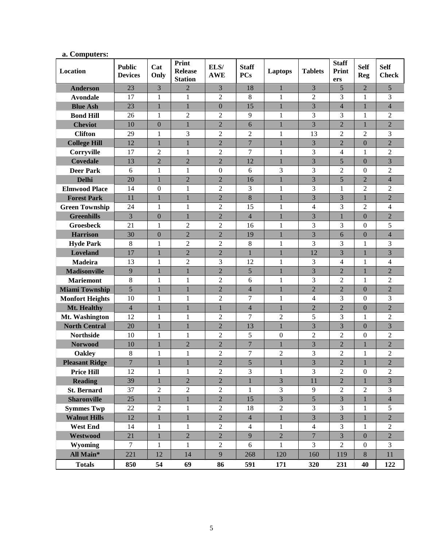| Location               | <b>Public</b><br><b>Devices</b> | Cat<br>Only      | Print<br><b>Release</b><br><b>Station</b> | ELS/<br><b>AWE</b> | <b>Staff</b><br><b>PCs</b> | Laptops          | <b>Tablets</b> | <b>Staff</b><br><b>Print</b><br>ers | <b>Self</b><br><b>Reg</b> | <b>Self</b><br><b>Check</b> |
|------------------------|---------------------------------|------------------|-------------------------------------------|--------------------|----------------------------|------------------|----------------|-------------------------------------|---------------------------|-----------------------------|
| <b>Anderson</b>        | 23                              | $\overline{3}$   | $\overline{2}$                            | 3                  | 18                         | $\mathbf{1}$     | 3              | 5                                   | $\overline{2}$            | 5                           |
| <b>Avondale</b>        | 17                              | 1                | 1                                         | $\overline{2}$     | 8                          | 1                | $\overline{2}$ | 3                                   | 1                         | 3                           |
| <b>Blue Ash</b>        | 23                              | $\mathbf{1}$     | $\mathbf{1}$                              | $\overline{0}$     | 15                         | $\mathbf{1}$     | 3              | $\overline{4}$                      | $\mathbf{1}$              | $\overline{4}$              |
| <b>Bond Hill</b>       | 26                              | 1                | $\overline{2}$                            | $\overline{2}$     | 9                          | 1                | 3              | 3                                   | $\mathbf{1}$              | $\overline{2}$              |
| <b>Cheviot</b>         | 10                              | $\overline{0}$   | $\mathbf{1}$                              | $\overline{2}$     | 6                          | 1                | 3              | $\overline{2}$                      | 1                         | $\overline{2}$              |
| <b>Clifton</b>         | 29                              | $\mathbf{1}$     | 3                                         | $\overline{2}$     | $\overline{2}$             | $\mathbf{1}$     | 13             | $\overline{2}$                      | $\overline{2}$            | 3                           |
| <b>College Hill</b>    | 12                              | $\mathbf{1}$     | $\mathbf{1}$                              | $\overline{2}$     | $\overline{7}$             | $\mathbf{1}$     | 3              | $\overline{2}$                      | $\boldsymbol{0}$          | $\overline{2}$              |
| Corryville             | 17                              | $\overline{2}$   | $\mathbf{1}$                              | $\overline{2}$     | 7                          | 1                | 3              | 4                                   | 1                         | $\overline{2}$              |
| <b>Covedale</b>        | 13                              | $\overline{2}$   | $\overline{2}$                            | $\overline{2}$     | 12                         | 1                | $\overline{3}$ | 5                                   | $\theta$                  | $\overline{3}$              |
| <b>Deer Park</b>       | 6                               | $\mathbf{1}$     | $\mathbf{1}$                              | $\boldsymbol{0}$   | 6                          | 3                | 3              | $\overline{2}$                      | $\Omega$                  | $\overline{2}$              |
| <b>Delhi</b>           | 20                              | $\mathbf{1}$     | $\overline{2}$                            | $\overline{2}$     | 16                         | $\mathbf{1}$     | 3              | 5                                   | $\overline{2}$            | $\overline{4}$              |
| <b>Elmwood Place</b>   | 14                              | $\mathbf{0}$     | $\mathbf{1}$                              | $\overline{2}$     | 3                          | 1                | 3              | 1                                   | $\overline{2}$            | $\overline{2}$              |
| <b>Forest Park</b>     | 11                              | $\mathbf{1}$     | $\mathbf{1}$                              | $\overline{2}$     | 8                          | $\mathbf{1}$     | $\overline{3}$ | 3                                   | $\mathbf{1}$              | $\overline{2}$              |
| <b>Green Township</b>  | 24                              | 1                | 1                                         | $\overline{2}$     | 15                         | 1                | 4              | 3                                   | $\overline{2}$            | 4                           |
| <b>Greenhills</b>      | 3                               | $\boldsymbol{0}$ | $\mathbf{1}$                              | $\overline{2}$     | $\overline{4}$             | $\mathbf{1}$     | 3              | $\mathbf{1}$                        | $\mathbf{0}$              | $\overline{2}$              |
| <b>Groesbeck</b>       | 21                              | 1                | $\overline{c}$                            | $\overline{2}$     | 16                         | 1                | 3              | 3                                   | $\theta$                  | 5                           |
| <b>Harrison</b>        | 30                              | $\mathbf{0}$     | $\overline{2}$                            | $\overline{2}$     | 19                         | 1                | 3              | 6                                   | $\theta$                  | $\overline{4}$              |
| <b>Hyde Park</b>       | 8                               | 1                | $\overline{2}$                            | $\overline{2}$     | 8                          | $\mathbf{1}$     | 3              | 3                                   | 1                         | 3                           |
| Loveland               | 17                              | $\mathbf{1}$     | $\overline{2}$                            | $\overline{2}$     | $\mathbf{1}$               | $\mathbf{1}$     | 12             | 3                                   | $\mathbf{1}$              | $\overline{3}$              |
| Madeira                | 13                              | 1                | $\overline{2}$                            | 3                  | 12                         | 1                | 3              | 4                                   | 1                         | 4                           |
| <b>Madisonville</b>    | 9                               | $\mathbf{1}$     | $\mathbf{1}$                              | $\overline{2}$     | 5                          | $\mathbf{1}$     | $\overline{3}$ | $\overline{2}$                      | $\mathbf{1}$              | $\overline{2}$              |
| <b>Mariemont</b>       | 8                               | 1                | 1                                         | $\overline{2}$     | 6                          | 1                | 3              | $\overline{2}$                      | $\mathbf{1}$              | $\overline{2}$              |
| <b>Miami Township</b>  | 5                               | 1                | $\mathbf{1}$                              | $\overline{2}$     | $\overline{4}$             | $\mathbf{1}$     | $\overline{2}$ | $\overline{2}$                      | $\overline{0}$            | $\overline{2}$              |
| <b>Monfort Heights</b> | 10                              | 1                | $\mathbf{1}$                              | $\overline{2}$     | 7                          | 1                | 4              | 3                                   | $\overline{0}$            | 3                           |
| Mt. Healthy            | $\overline{4}$                  | $\mathbf{1}$     | $\mathbf{1}$                              | $\mathbf{1}$       | $\overline{4}$             | $\mathbf{1}$     | $\overline{2}$ | $\overline{2}$                      | $\overline{0}$            | $\overline{2}$              |
| Mt. Washington         | 12                              | 1                | $\mathbf{1}$                              | $\overline{2}$     | 7                          | $\overline{2}$   | 5              | 3                                   | 1                         | $\overline{2}$              |
| <b>North Central</b>   | 20                              | $\mathbf{1}$     | $\mathbf 1$                               | $\overline{2}$     | 13                         | $\mathbf{1}$     | 3              | 3                                   | $\mathbf{0}$              | 3                           |
| <b>Northside</b>       | 10                              | 1                | $\mathbf{1}$                              | $\overline{2}$     | 5                          | $\boldsymbol{0}$ | $\overline{2}$ | $\overline{2}$                      | $\overline{0}$            | $\overline{2}$              |
| <b>Norwood</b>         | 10                              | 1                | $\overline{2}$                            | $\overline{2}$     | $\overline{7}$             | 1                | 3              | $\overline{2}$                      | $\mathbf{1}$              | $\overline{2}$              |
| <b>Oakley</b>          | 8                               | $\mathbf{1}$     | $\mathbf{1}$                              | $\overline{2}$     | 7                          | 2                | 3              | $\overline{2}$                      | 1                         | $\overline{2}$              |
| <b>Pleasant Ridge</b>  | $\overline{7}$                  | $\mathbf{1}$     | $\mathbf{1}$                              | $\overline{2}$     | 5                          | $\mathbf{1}$     | $\overline{3}$ | $\overline{2}$                      | $\mathbf{1}$              | $\overline{2}$              |
| <b>Price Hill</b>      | 12                              | 1                | 1                                         | $\overline{c}$     | $\mathfrak{Z}$             | 1                | 3              | $\overline{2}$                      | $\boldsymbol{0}$          | $\overline{c}$              |
| <b>Reading</b>         | 39                              | $\overline{1}$   | $\overline{2}$                            | $\overline{2}$     | $\overline{1}$             | $\overline{3}$   | 11             | $\overline{2}$                      | $\mathbf{1}$              | $\overline{3}$              |
| <b>St. Bernard</b>     | 37                              | $\overline{2}$   | $\overline{2}$                            | $\overline{2}$     | $\mathbf{1}$               | $\mathfrak{Z}$   | 9              | $\overline{2}$                      | $\overline{2}$            | 3                           |
| <b>Sharonville</b>     | 25                              | $\mathbf{1}$     | $\mathbf{1}$                              | $\sqrt{2}$         | 15                         | 3                | 5              | 3                                   | $\mathbf{1}$              | $\overline{4}$              |
| <b>Symmes Twp</b>      | 22                              | $\sqrt{2}$       | $\mathbf{1}$                              | $\overline{2}$     | 18                         | $\sqrt{2}$       | 3              | 3                                   | 1                         | 5                           |
| <b>Walnut Hills</b>    | 12                              | $\mathbf{1}$     | $\mathbf{1}$                              | $\overline{2}$     | $\overline{4}$             | $\mathbf{1}$     | 3              | 3                                   | $\mathbf{1}$              | $\overline{2}$              |
| <b>West End</b>        | 14                              | $\mathbf{1}$     | $\mathbf{1}$                              | $\overline{2}$     | $\overline{4}$             | $\mathbf{1}$     | $\overline{4}$ | 3                                   | 1                         | $\overline{2}$              |
| Westwood               | 21                              | $\mathbf{1}$     | $\sqrt{2}$                                | $\overline{2}$     | 9                          | $\sqrt{2}$       | $\overline{7}$ | $\overline{3}$                      | $\mathbf{0}$              | $\overline{2}$              |
| Wyoming                | $\tau$                          | 1                | 1                                         | $\overline{2}$     | 6                          | 1                | 3              | $\overline{2}$                      | $\overline{0}$            | 3                           |
| All Main*              | 221                             | 12               | 14                                        | 9                  | 268                        | 120              | 160            | 119                                 | $8\phantom{.}$            | 11                          |
| <b>Totals</b>          | 850                             | 54               | 69                                        | 86                 | 591                        | 171              | 320            | 231                                 | 40                        | 122                         |

# **a. Computers:**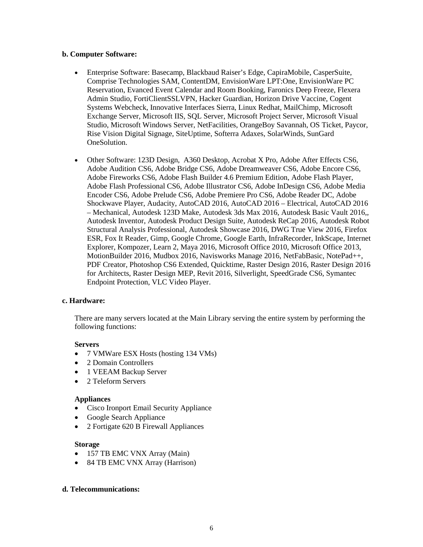#### **b. Computer Software:**

- Enterprise Software: Basecamp, Blackbaud Raiser's Edge, CapiraMobile, CasperSuite, Comprise Technologies SAM, ContentDM, EnvisionWare LPT:One, EnvisionWare PC Reservation, Evanced Event Calendar and Room Booking, Faronics Deep Freeze, Flexera Admin Studio, FortiClientSSLVPN, Hacker Guardian, Horizon Drive Vaccine, Cogent Systems Webcheck, Innovative Interfaces Sierra, Linux Redhat, MailChimp, Microsoft Exchange Server, Microsoft IIS, SQL Server, Microsoft Project Server, Microsoft Visual Studio, Microsoft Windows Server, NetFacilities, OrangeBoy Savannah, OS Ticket, Paycor, Rise Vision Digital Signage, SiteUptime, Softerra Adaxes, SolarWinds, SunGard OneSolution.
- Other Software: 123D Design, A360 Desktop, Acrobat X Pro, Adobe After Effects CS6, Adobe Audition CS6, Adobe Bridge CS6, Adobe Dreamweaver CS6, Adobe Encore CS6, Adobe Fireworks CS6, Adobe Flash Builder 4.6 Premium Edition, Adobe Flash Player, Adobe Flash Professional CS6, Adobe Illustrator CS6, Adobe InDesign CS6, Adobe Media Encoder CS6, Adobe Prelude CS6, Adobe Premiere Pro CS6, Adobe Reader DC, Adobe Shockwave Player, Audacity, AutoCAD 2016, AutoCAD 2016 – Electrical, AutoCAD 2016 – Mechanical, Autodesk 123D Make, Autodesk 3ds Max 2016, Autodesk Basic Vault 2016,, Autodesk Inventor, Autodesk Product Design Suite, Autodesk ReCap 2016, Autodesk Robot Structural Analysis Professional, Autodesk Showcase 2016, DWG True View 2016, Firefox ESR, Fox It Reader, Gimp, Google Chrome, Google Earth, InfraRecorder, InkScape, Internet Explorer, Kompozer, Learn 2, Maya 2016, Microsoft Office 2010, Microsoft Office 2013, MotionBuilder 2016, Mudbox 2016, Navisworks Manage 2016, NetFabBasic, NotePad++, PDF Creator, Photoshop CS6 Extended, Quicktime, Raster Design 2016, Raster Design 2016 for Architects, Raster Design MEP, Revit 2016, Silverlight, SpeedGrade CS6, Symantec Endpoint Protection, VLC Video Player.

#### **c. Hardware:**

There are many servers located at the Main Library serving the entire system by performing the following functions:

#### **Servers**

- 7 VMWare ESX Hosts (hosting 134 VMs)
- 2 Domain Controllers
- 1 VEEAM Backup Server
- 2 Teleform Servers

#### **Appliances**

- Cisco Ironport Email Security Appliance
- Google Search Appliance
- 2 Fortigate 620 B Firewall Appliances

#### **Storage**

- 157 TB EMC VNX Array (Main)
- 84 TB EMC VNX Array (Harrison)

#### **d. Telecommunications:**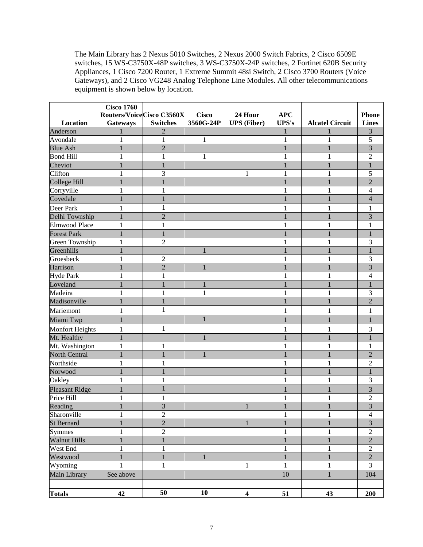The Main Library has 2 Nexus 5010 Switches, 2 Nexus 2000 Switch Fabrics, 2 Cisco 6509E switches, 15 WS-C3750X-48P switches, 3 WS-C3750X-24P switches, 2 Fortinet 620B Security Appliances, 1 Cisco 7200 Router, 1 Extreme Summit 48si Switch, 2 Cisco 3700 Routers (Voice Gateways), and 2 Cisco VG248 Analog Telephone Line Modules. All other telecommunications equipment is shown below by location.

|                     | <b>Cisco 1760</b> |                                   |              |                         |              |                        |                |
|---------------------|-------------------|-----------------------------------|--------------|-------------------------|--------------|------------------------|----------------|
|                     |                   | <b>Routers/Voice Cisco C3560X</b> | <b>Cisco</b> | 24 Hour                 | <b>APC</b>   |                        | <b>Phone</b>   |
| <b>Location</b>     | Gateways          | <b>Switches</b>                   | 3560G-24P    | <b>UPS</b> (Fiber)      | <b>UPS's</b> | <b>Alcatel Circuit</b> | <b>Lines</b>   |
| Anderson            |                   |                                   |              |                         |              |                        | 3              |
| Avondale            | 1                 | 1                                 | 1            |                         | 1            | 1                      | 5              |
| <b>Blue Ash</b>     |                   | $\overline{2}$                    |              |                         |              |                        | $\overline{3}$ |
| <b>Bond Hill</b>    |                   | 1                                 | 1            |                         |              |                        | $\overline{2}$ |
| Cheviot             |                   |                                   |              |                         |              |                        | $\mathbf{1}$   |
| Clifton             |                   | 3                                 |              | 1                       |              |                        | 5              |
| College Hill        |                   |                                   |              |                         |              |                        | $\overline{2}$ |
| Corryville          | 1                 | 1                                 |              |                         |              | 1                      | $\overline{4}$ |
| Covedale            |                   |                                   |              |                         |              |                        | $\overline{4}$ |
| Deer Park           | 1                 | 1                                 |              |                         |              |                        | 1              |
| Delhi Township      | 1                 | $\overline{2}$                    |              |                         |              |                        | $\mathfrak{Z}$ |
| Elmwood Place       | $\mathbf{1}$      | $\mathbf{1}$                      |              |                         | 1            | 1                      | 1              |
| <b>Forest Park</b>  | $\mathbf{1}$      |                                   |              |                         |              |                        |                |
| Green Township      | $\mathbf{1}$      | $\overline{2}$                    |              |                         | 1            | 1                      | $\mathfrak{Z}$ |
| Greenhills          | $\mathbf{1}$      |                                   | 1            |                         | 1            | 1                      | $\mathbf{1}$   |
| Groesbeck           | 1                 | $\overline{2}$                    |              |                         |              | 1                      | 3              |
| Harrison            | $\mathbf{1}$      | $\overline{2}$                    | 1            |                         |              |                        | 3              |
| <b>Hyde Park</b>    | 1                 | 1                                 |              |                         |              | 1                      | $\overline{4}$ |
| Loveland            | 1                 |                                   | 1            |                         |              |                        |                |
| Madeira             | 1                 | 1                                 | 1            |                         |              | 1                      | 3              |
| Madisonville        | $\mathbf{1}$      |                                   |              |                         |              |                        | $\overline{c}$ |
| Mariemont           | 1                 | 1                                 |              |                         | 1            | 1                      | 1              |
| Miami Twp           | $\mathbf{1}$      |                                   | 1            |                         | 1            | 1                      | 1              |
| Monfort Heights     | $\mathbf{1}$      | 1                                 |              |                         | 1            | 1                      | 3              |
| Mt. Healthy         | $\mathbf{1}$      |                                   | 1            |                         |              |                        |                |
| Mt. Washington      | $\mathbf{1}$      | -1                                |              |                         |              | 1                      | 1              |
| North Central       | 1                 |                                   | 1            |                         |              |                        | $\overline{2}$ |
| Northside           | 1                 |                                   |              |                         |              |                        | $\overline{2}$ |
| Norwood             |                   |                                   |              |                         |              |                        | 1              |
| Oakley              | 1                 | 1                                 |              |                         |              | 1                      | 3              |
| Pleasant Ridge      |                   |                                   |              |                         |              |                        | 3              |
| Price Hill          |                   |                                   |              |                         |              |                        | $\overline{c}$ |
| Reading             |                   | 3                                 |              | 1                       | 1            |                        | 3              |
| Sharonville         | 1                 | $\mathfrak{2}$                    |              |                         | 1            | 1                      | $\overline{4}$ |
| <b>St Bernard</b>   | $\mathbf{1}$      | $\overline{2}$                    |              | 1                       | $\mathbf{1}$ | 1                      | $\overline{3}$ |
| <b>Symmes</b>       | $\mathbf{1}$      | $\overline{2}$                    |              |                         | $\mathbf{1}$ | 1                      | $\overline{c}$ |
| <b>Walnut Hills</b> | $\mathbbm{1}$     | $\mathbf{1}$                      |              |                         | $\mathbf{1}$ | $\mathbf{1}$           | $\overline{2}$ |
| West End            | $\mathbf{1}$      | $\mathbf{1}$                      |              |                         | $\mathbf{1}$ | $\mathbf{1}$           | $\sqrt{2}$     |
| Westwood            | $\,1\,$           | $\mathbf{1}$                      | $\mathbf{1}$ |                         | $\mathbf{1}$ | 1                      | $\sqrt{2}$     |
| Wyoming             | $\mathbf{1}$      | $\mathbf{1}$                      |              | $\,1$                   | $\mathbf{1}$ | 1                      | $\overline{3}$ |
| Main Library        | See above         |                                   |              |                         | 10           | $\mathbf{1}$           | 104            |
|                     |                   |                                   |              |                         |              |                        |                |
| <b>Totals</b>       | 42                | 50                                | 10           | $\overline{\mathbf{4}}$ | 51           | 43                     | 200            |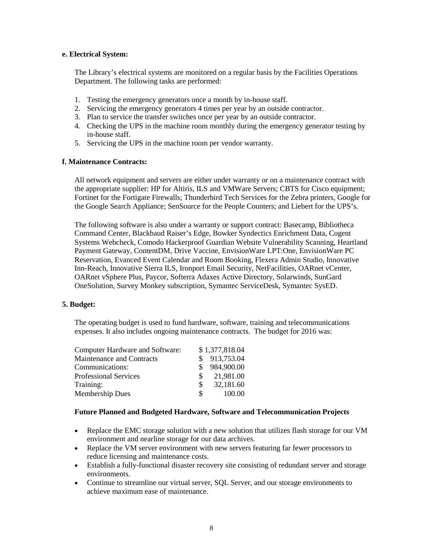#### **e. Electrical System:**

The Library's electrical systems are monitored on a regular basis by the Facilities Operations Department. The following tasks are performed:

- 1. Testing the emergency generators once a month by in-house staff.
- 2. Servicing the emergency generators 4 times per year by an outside contractor.
- 3. Plan to service the transfer switches once per year by an outside contractor.
- 4. Checking the UPS in the machine room monthly during the emergency generator testing by in-house staff.
- 5. Servicing the UPS in the machine room per vendor warranty.

#### **f. Maintenance Contracts:**

All network equipment and servers are either under warranty or on a maintenance contract with the appropriate supplier: HP for Altiris, ILS and VMWare Servers; CBTS for Cisco equipment; Fortinet for the Fortigate Firewalls; Thunderbird Tech Services for the Zebra printers, Google for the Google Search Appliance; SenSource for the People Counters; and Liebert for the UPS's.

The following software is also under a warranty or support contract: Basecamp, Bibliotheca Command Center, Blackbaud Raiser's Edge, Bowker Syndectics Enrichment Data, Cogent Systems Webcheck, Comodo Hackerproof Guardian Website Vulnerability Scanning, Heartland Payment Gateway, ContentDM, Drive Vaccine, EnvisionWare LPT:One, EnvisionWare PC Reservation, Evanced Event Calendar and Room Booking, Flexera Admin Studio, Innovative Inn-Reach, Innovative Sierra ILS, Ironport Email Security, NetFacilities, OARnet vCenter, OARnet vSphere Plus, Paycor, Softerra Adaxes Active Directory, Solarwinds, SunGard OneSolution, Survey Monkey subscription, Symantec ServiceDesk, Symantec SysED.

#### **5. Budget:**

The operating budget is used to fund hardware, software, training and telecommunications expenses. It also includes ongoing maintenance contracts. The budget for 2016 was:

| <b>Computer Hardware and Software:</b> |     | \$1,377,818.04 |
|----------------------------------------|-----|----------------|
| Maintenance and Contracts              |     | 913,753.04     |
| Communications:                        |     | 984,900.00     |
| <b>Professional Services</b>           | S.  | 21,981.00      |
| Training:                              | \$. | 32,181.60      |
| <b>Membership Dues</b>                 | S.  | 100.00         |

#### **Future Planned and Budgeted Hardware, Software and Telecommunication Projects**

- Replace the EMC storage solution with a new solution that utilizes flash storage for our VM environment and nearline storage for our data archives.
- Replace the VM server environment with new servers featuring far fewer processors to reduce licensing and maintenance costs.
- Establish a fully-functional disaster recovery site consisting of redundant server and storage environments.
- Continue to streamline our virtual server, SQL Server, and our storage environments to achieve maximum ease of maintenance.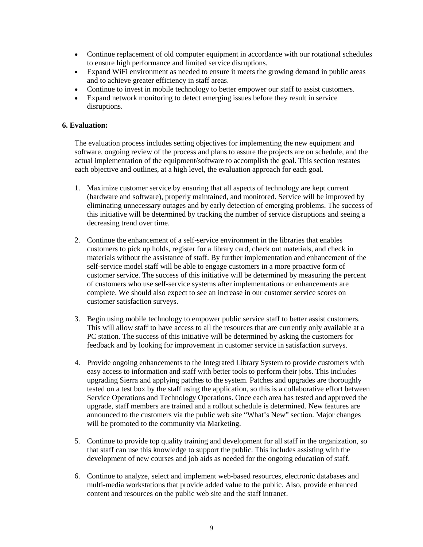- Continue replacement of old computer equipment in accordance with our rotational schedules to ensure high performance and limited service disruptions.
- Expand WiFi environment as needed to ensure it meets the growing demand in public areas and to achieve greater efficiency in staff areas.
- Continue to invest in mobile technology to better empower our staff to assist customers.
- Expand network monitoring to detect emerging issues before they result in service disruptions.

#### **6. Evaluation:**

The evaluation process includes setting objectives for implementing the new equipment and software, ongoing review of the process and plans to assure the projects are on schedule, and the actual implementation of the equipment/software to accomplish the goal. This section restates each objective and outlines, at a high level, the evaluation approach for each goal.

- 1. Maximize customer service by ensuring that all aspects of technology are kept current (hardware and software), properly maintained, and monitored. Service will be improved by eliminating unnecessary outages and by early detection of emerging problems. The success of this initiative will be determined by tracking the number of service disruptions and seeing a decreasing trend over time.
- 2. Continue the enhancement of a self-service environment in the libraries that enables customers to pick up holds, register for a library card, check out materials, and check in materials without the assistance of staff. By further implementation and enhancement of the self-service model staff will be able to engage customers in a more proactive form of customer service. The success of this initiative will be determined by measuring the percent of customers who use self-service systems after implementations or enhancements are complete. We should also expect to see an increase in our customer service scores on customer satisfaction surveys.
- 3. Begin using mobile technology to empower public service staff to better assist customers. This will allow staff to have access to all the resources that are currently only available at a PC station. The success of this initiative will be determined by asking the customers for feedback and by looking for improvement in customer service in satisfaction surveys.
- 4. Provide ongoing enhancements to the Integrated Library System to provide customers with easy access to information and staff with better tools to perform their jobs. This includes upgrading Sierra and applying patches to the system. Patches and upgrades are thoroughly tested on a test box by the staff using the application, so this is a collaborative effort between Service Operations and Technology Operations. Once each area has tested and approved the upgrade, staff members are trained and a rollout schedule is determined. New features are announced to the customers via the public web site "What's New" section. Major changes will be promoted to the community via Marketing.
- 5. Continue to provide top quality training and development for all staff in the organization, so that staff can use this knowledge to support the public. This includes assisting with the development of new courses and job aids as needed for the ongoing education of staff.
- 6. Continue to analyze, select and implement web-based resources, electronic databases and multi-media workstations that provide added value to the public. Also, provide enhanced content and resources on the public web site and the staff intranet.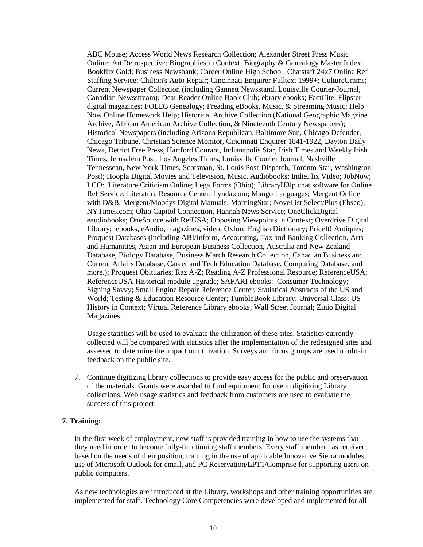ABC Mouse; Access World News Research Collection; Alexander Street Press Music Online; Art Retrospective; Biographies in Context; Biography & Genealogy Master Index; Bookflix Gold; Business Newsbank; Career Online High School; Chatstaff 24x7 Online Ref Staffing Service; Chilton's Auto Repair; Cincinnati Enquirer Fulltext 1999+; CultureGrams; Current Newspaper Collection (including Gannett Newsstand, Louisville Courier-Journal, Canadian Newsstream); Dear Reader Online Book Club; ebrary ebooks; FactCite; Flipster digital magazines; FOLD3 Genealogy; Freading eBooks, Music, & Streaming Music; Help Now Online Homework Help; Historical Archive Collection (National Geographic Magzine Archive, African American Archive Collection, & Nineteenth Century Newspapers); Historical Newspapers (including Arizona Republican, Baltimore Sun, Chicago Defender, Chicago Tribune, Christian Science Monitor, Cincinnati Enquirer 1841-1922, Dayton Daily News, Detriot Free Press, Hartford Courant, Indianapolis Star, Irish Times and Weekly Irish Times, Jerusalem Post, Los Angeles Times, Louisville Courier Journal, Nashville Tennessean, New York Times, Scotsman, St. Louis Post-Dispatch, Toronto Star, Washington Post); Hoopla Digital Movies and Television, Music, Audiobooks; IndieFlix Video; JobNow; LCO: Literature Criticism Online; LegalForms (Ohio); LibraryH3lp chat software for Online Ref Service; Literature Resource Center; Lynda.com; Mango Languages; Mergent Online with D&B; Mergent/Moodys Digital Manuals; MorningStar; NoveList Select/Plus (Ebsco); NYTimes.com; Ohio Capitol Connection, Hannah News Service; OneClickDigital eaudiobooks; OneSource with RefUSA; Opposing Viewpoints in Context; Overdrive Digital Library: ebooks, eAudio, magazines, video; Oxford English Dictionary; PriceIt! Antiques; Proquest Databases (including ABI/Inform, Accounting, Tax and Banking Collection, Arts and Humanities, Asian and European Business Collection, Australia and New Zealand Database, Biology Database, Business March Research Collection, Canadian Business and Current Affairs Database, Career and Tech Education Database, Computing Database, and more.); Proquest Obituaries; Raz A-Z; Reading A-Z Professional Resource; ReferenceUSA; ReferenceUSA-Historical module upgrade; SAFARI ebooks: Consumer Technology; Signing Savvy; Small Engine Repair Reference Center; Statistical Abstracts of the US and World; Testing & Education Resource Center; TumbleBook Library; Universal Class; US History in Context; Virtual Reference Library ebooks; Wall Street Journal; Zinio Digital Magazines;

Usage statistics will be used to evaluate the utilization of these sites. Statistics currently collected will be compared with statistics after the implementation of the redesigned sites and assessed to determine the impact on utilization. Surveys and focus groups are used to obtain feedback on the public site.

7. Continue digitizing library collections to provide easy access for the public and preservation of the materials. Grants were awarded to fund equipment for use in digitizing Library collections. Web usage statistics and feedback from customers are used to evaluate the success of this project.

#### **7. Training:**

In the first week of employment, new staff is provided training in how to use the systems that they need in order to become fully-functioning staff members. Every staff member has received, based on the needs of their position, training in the use of applicable Innovative Sierra modules, use of Microsoft Outlook for email, and PC Reservation/LPT1/Comprise for supporting users on public computers.

As new technologies are introduced at the Library, workshops and other training opportunities are implemented for staff. Technology Core Competencies were developed and implemented for all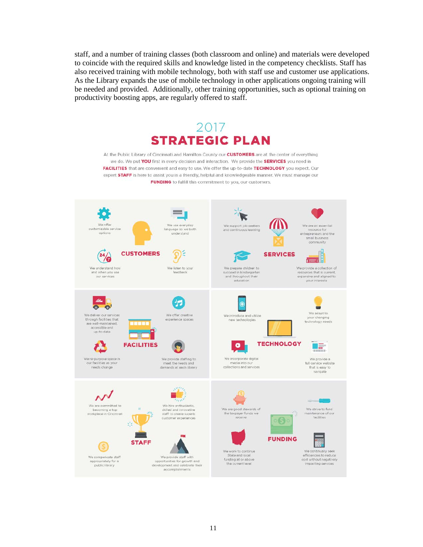staff, and a number of training classes (both classroom and online) and materials were developed to coincide with the required skills and knowledge listed in the competency checklists. Staff has also received training with mobile technology, both with staff use and customer use applications. As the Library expands the use of mobile technology in other applications ongoing training will be needed and provided. Additionally, other training opportunities, such as optional training on productivity boosting apps, are regularly offered to staff.



We strive to fund naintenance of our facilities

**FUNDING** 

 $\circ$   $\Theta$ 

We are good stewards of

the taxpayer funds we

We work to continue

State and local

the current level

funding at or ab

P We continually seek efficiencies to reduce

cost without negatively<br>impacting services

skilled and innovative

staff to create superb

customer experie

We provide staff with

opportunities for growth and<br>development and celebrate their

accomplishments

**STAFF** 

becoming a top<br>rkplace in Cincin

We compensate staff

propriately for<br>public library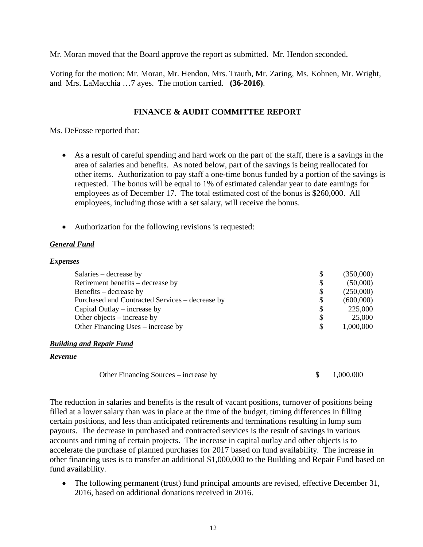Mr. Moran moved that the Board approve the report as submitted. Mr. Hendon seconded.

Voting for the motion: Mr. Moran, Mr. Hendon, Mrs. Trauth, Mr. Zaring, Ms. Kohnen, Mr. Wright, and Mrs. LaMacchia …7 ayes. The motion carried. **(36-2016)**.

# **FINANCE & AUDIT COMMITTEE REPORT**

Ms. DeFosse reported that:

- As a result of careful spending and hard work on the part of the staff, there is a savings in the area of salaries and benefits. As noted below, part of the savings is being reallocated for other items. Authorization to pay staff a one-time bonus funded by a portion of the savings is requested. The bonus will be equal to 1% of estimated calendar year to date earnings for employees as of December 17. The total estimated cost of the bonus is \$260,000. All employees, including those with a set salary, will receive the bonus.
- Authorization for the following revisions is requested:

#### *General Fund*

#### *Expenses*

| \$ | (350,000) |
|----|-----------|
| \$ | (50,000)  |
| S  | (250,000) |
| S  | (600,000) |
| S  | 225,000   |
| S  | 25,000    |
| S  | 1,000,000 |
|    |           |

#### *Building and Repair Fund*

#### *Revenue*

| Other Financing Sources – increase by |  | 1,000,000 |
|---------------------------------------|--|-----------|
|---------------------------------------|--|-----------|

The reduction in salaries and benefits is the result of vacant positions, turnover of positions being filled at a lower salary than was in place at the time of the budget, timing differences in filling certain positions, and less than anticipated retirements and terminations resulting in lump sum payouts. The decrease in purchased and contracted services is the result of savings in various accounts and timing of certain projects. The increase in capital outlay and other objects is to accelerate the purchase of planned purchases for 2017 based on fund availability. The increase in other financing uses is to transfer an additional \$1,000,000 to the Building and Repair Fund based on fund availability.

• The following permanent (trust) fund principal amounts are revised, effective December 31, 2016, based on additional donations received in 2016.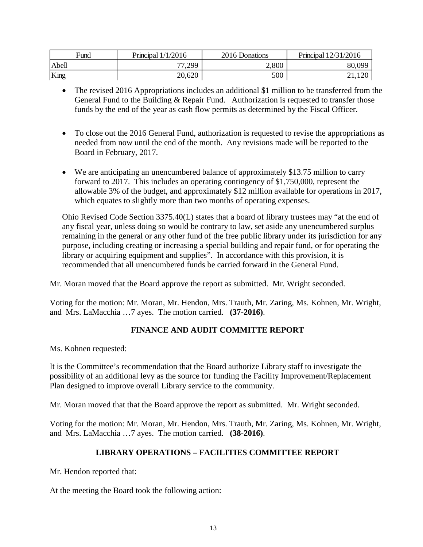| Fund  | Principal $1/1/2016$ | 2016 Donations | Principal 12/31/2016             |
|-------|----------------------|----------------|----------------------------------|
| Abell | 77,299               | 2,800          | 80,099                           |
| King  | 20,620               | 500            | $1 \cap \Omega$<br>$1.1\Delta U$ |

- The revised 2016 Appropriations includes an additional \$1 million to be transferred from the General Fund to the Building & Repair Fund. Authorization is requested to transfer those funds by the end of the year as cash flow permits as determined by the Fiscal Officer.
- To close out the 2016 General Fund, authorization is requested to revise the appropriations as needed from now until the end of the month. Any revisions made will be reported to the Board in February, 2017.
- We are anticipating an unencumbered balance of approximately \$13.75 million to carry forward to 2017. This includes an operating contingency of \$1,750,000, represent the allowable 3% of the budget, and approximately \$12 million available for operations in 2017, which equates to slightly more than two months of operating expenses.

Ohio Revised Code Section 3375.40(L) states that a board of library trustees may "at the end of any fiscal year, unless doing so would be contrary to law, set aside any unencumbered surplus remaining in the general or any other fund of the free public library under its jurisdiction for any purpose, including creating or increasing a special building and repair fund, or for operating the library or acquiring equipment and supplies". In accordance with this provision, it is recommended that all unencumbered funds be carried forward in the General Fund.

Mr. Moran moved that the Board approve the report as submitted. Mr. Wright seconded.

Voting for the motion: Mr. Moran, Mr. Hendon, Mrs. Trauth, Mr. Zaring, Ms. Kohnen, Mr. Wright, and Mrs. LaMacchia …7 ayes. The motion carried. **(37-2016)**.

# **FINANCE AND AUDIT COMMITTE REPORT**

Ms. Kohnen requested:

It is the Committee's recommendation that the Board authorize Library staff to investigate the possibility of an additional levy as the source for funding the Facility Improvement/Replacement Plan designed to improve overall Library service to the community.

Mr. Moran moved that that the Board approve the report as submitted. Mr. Wright seconded.

Voting for the motion: Mr. Moran, Mr. Hendon, Mrs. Trauth, Mr. Zaring, Ms. Kohnen, Mr. Wright, and Mrs. LaMacchia …7 ayes. The motion carried. **(38-2016)**.

# **LIBRARY OPERATIONS – FACILITIES COMMITTEE REPORT**

Mr. Hendon reported that:

At the meeting the Board took the following action: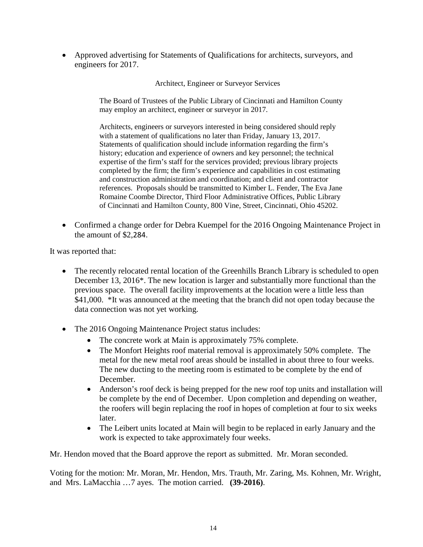• Approved advertising for Statements of Qualifications for architects, surveyors, and engineers for 2017.

Architect, Engineer or Surveyor Services

The Board of Trustees of the Public Library of Cincinnati and Hamilton County may employ an architect, engineer or surveyor in 2017.

Architects, engineers or surveyors interested in being considered should reply with a statement of qualifications no later than Friday, January 13, 2017. Statements of qualification should include information regarding the firm's history; education and experience of owners and key personnel; the technical expertise of the firm's staff for the services provided; previous library projects completed by the firm; the firm's experience and capabilities in cost estimating and construction administration and coordination; and client and contractor references. Proposals should be transmitted to Kimber L. Fender, The Eva Jane Romaine Coombe Director, Third Floor Administrative Offices, Public Library of Cincinnati and Hamilton County, 800 Vine, Street, Cincinnati, Ohio 45202.

• Confirmed a change order for Debra Kuempel for the 2016 Ongoing Maintenance Project in the amount of \$2,284.

It was reported that:

- The recently relocated rental location of the Greenhills Branch Library is scheduled to open December 13, 2016\*. The new location is larger and substantially more functional than the previous space. The overall facility improvements at the location were a little less than \$41,000. \*It was announced at the meeting that the branch did not open today because the data connection was not yet working.
- The 2016 Ongoing Maintenance Project status includes:
	- The concrete work at Main is approximately 75% complete.
	- The Monfort Heights roof material removal is approximately 50% complete. The metal for the new metal roof areas should be installed in about three to four weeks. The new ducting to the meeting room is estimated to be complete by the end of December.
	- Anderson's roof deck is being prepped for the new roof top units and installation will be complete by the end of December. Upon completion and depending on weather, the roofers will begin replacing the roof in hopes of completion at four to six weeks later.
	- The Leibert units located at Main will begin to be replaced in early January and the work is expected to take approximately four weeks.

Mr. Hendon moved that the Board approve the report as submitted. Mr. Moran seconded.

Voting for the motion: Mr. Moran, Mr. Hendon, Mrs. Trauth, Mr. Zaring, Ms. Kohnen, Mr. Wright, and Mrs. LaMacchia …7 ayes. The motion carried. **(39-2016)**.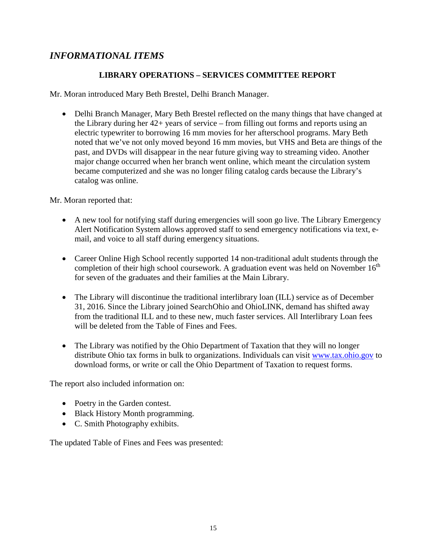# *INFORMATIONAL ITEMS*

# **LIBRARY OPERATIONS – SERVICES COMMITTEE REPORT**

Mr. Moran introduced Mary Beth Brestel, Delhi Branch Manager.

• Delhi Branch Manager, Mary Beth Brestel reflected on the many things that have changed at the Library during her 42+ years of service – from filling out forms and reports using an electric typewriter to borrowing 16 mm movies for her afterschool programs. Mary Beth noted that we've not only moved beyond 16 mm movies, but VHS and Beta are things of the past, and DVDs will disappear in the near future giving way to streaming video. Another major change occurred when her branch went online, which meant the circulation system became computerized and she was no longer filing catalog cards because the Library's catalog was online.

Mr. Moran reported that:

- A new tool for notifying staff during emergencies will soon go live. The Library Emergency Alert Notification System allows approved staff to send emergency notifications via text, email, and voice to all staff during emergency situations.
- Career Online High School recently supported 14 non-traditional adult students through the completion of their high school coursework. A graduation event was held on November  $16<sup>th</sup>$ for seven of the graduates and their families at the Main Library.
- The Library will discontinue the traditional interlibrary loan (ILL) service as of December 31, 2016. Since the Library joined SearchOhio and OhioLINK, demand has shifted away from the traditional ILL and to these new, much faster services. All Interlibrary Loan fees will be deleted from the Table of Fines and Fees.
- The Library was notified by the Ohio Department of Taxation that they will no longer distribute Ohio tax forms in bulk to organizations. Individuals can visit [www.tax.ohio.gov](http://www.tax.ohio.gov/) to download forms, or write or call the Ohio Department of Taxation to request forms.

The report also included information on:

- Poetry in the Garden contest.
- Black History Month programming.
- C. Smith Photography exhibits.

The updated Table of Fines and Fees was presented: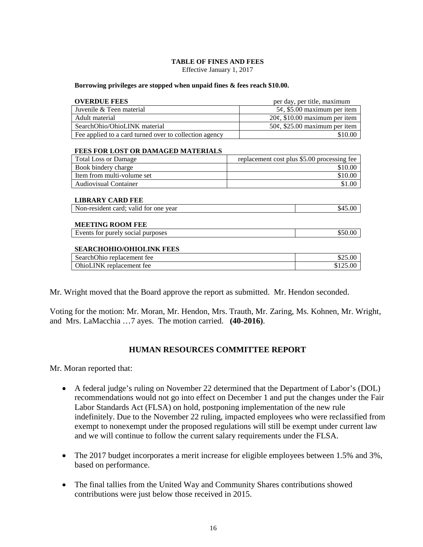#### **TABLE OF FINES AND FEES**

Effective January 1, 2017

#### **Borrowing privileges are stopped when unpaid fines & fees reach \$10.00.**

| <b>OVERDUE FEES</b>                                    | per day, per title, maximum                 |
|--------------------------------------------------------|---------------------------------------------|
| Juvenile & Teen material                               | $5¢$ , \$5.00 maximum per item              |
| Adult material                                         | $20¢$ , \$10.00 maximum per item            |
| SearchOhio/OhioLINK material                           | $50¢$ , \$25.00 maximum per item            |
| Fee applied to a card turned over to collection agency | \$10.00                                     |
| <b>FEES FOR LOST OR DAMAGED MATERIALS</b>              |                                             |
| <b>Total Loss or Damage</b>                            | replacement cost plus \$5.00 processing fee |
| Book bindery charge                                    | \$10.00                                     |
| Item from multi-volume set                             | \$10.00                                     |
| <b>Audiovisual Container</b>                           | \$1.00                                      |
| <b>LIBRARY CARD FEE</b>                                |                                             |
| Non-resident card; valid for one year                  | \$45.00                                     |
| <b>MEETING ROOM FEE</b>                                |                                             |
| Events for purely social purposes                      | \$50.00                                     |
| <b>SEARCHOHIO/OHIOLINK FEES</b>                        |                                             |
| SearchOhio replacement fee                             | \$25.00                                     |
| OhioLINK replacement fee                               | \$125.00                                    |
|                                                        |                                             |

Mr. Wright moved that the Board approve the report as submitted. Mr. Hendon seconded.

Voting for the motion: Mr. Moran, Mr. Hendon, Mrs. Trauth, Mr. Zaring, Ms. Kohnen, Mr. Wright, and Mrs. LaMacchia …7 ayes. The motion carried. **(40-2016)**.

### **HUMAN RESOURCES COMMITTEE REPORT**

Mr. Moran reported that:

- A federal judge's ruling on November 22 determined that the Department of Labor's (DOL) recommendations would not go into effect on December 1 and put the changes under the Fair Labor Standards Act (FLSA) on hold, postponing implementation of the new rule indefinitely. Due to the November 22 ruling, impacted employees who were reclassified from exempt to nonexempt under the proposed regulations will still be exempt under current law and we will continue to follow the current salary requirements under the FLSA.
- The 2017 budget incorporates a merit increase for eligible employees between 1.5% and 3%, based on performance.
- The final tallies from the United Way and Community Shares contributions showed contributions were just below those received in 2015.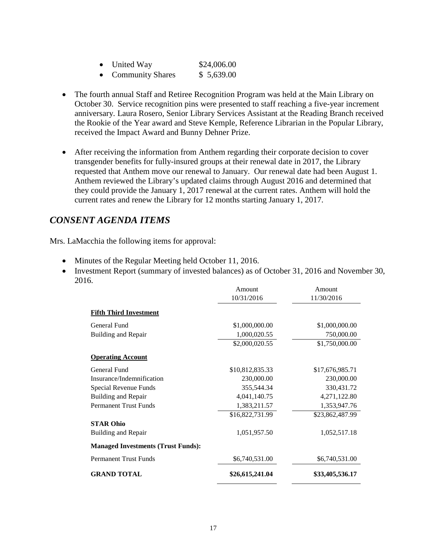| United Way              | \$24,006.00 |
|-------------------------|-------------|
| <b>Community Shares</b> | \$5,639.00  |

- The fourth annual Staff and Retiree Recognition Program was held at the Main Library on October 30. Service recognition pins were presented to staff reaching a five-year increment anniversary. Laura Rosero, Senior Library Services Assistant at the Reading Branch received the Rookie of the Year award and Steve Kemple, Reference Librarian in the Popular Library, received the Impact Award and Bunny Dehner Prize.
- After receiving the information from Anthem regarding their corporate decision to cover transgender benefits for fully-insured groups at their renewal date in 2017, the Library requested that Anthem move our renewal to January. Our renewal date had been August 1. Anthem reviewed the Library's updated claims through August 2016 and determined that they could provide the January 1, 2017 renewal at the current rates. Anthem will hold the current rates and renew the Library for 12 months starting January 1, 2017.

# *CONSENT AGENDA ITEMS*

Mrs. LaMacchia the following items for approval:

- Minutes of the Regular Meeting held October 11, 2016.
- Investment Report (summary of invested balances) as of October 31, 2016 and November 30, 2016.

|                                           | Amount          | Amount          |
|-------------------------------------------|-----------------|-----------------|
|                                           | 10/31/2016      | 11/30/2016      |
| <b>Fifth Third Investment</b>             |                 |                 |
| General Fund                              | \$1,000,000.00  | \$1,000,000.00  |
| Building and Repair                       | 1,000,020.55    | 750,000.00      |
|                                           | \$2,000,020.55  | \$1,750,000.00  |
| <b>Operating Account</b>                  |                 |                 |
| General Fund                              | \$10,812,835.33 | \$17,676,985.71 |
| Insurance/Indemnification                 | 230,000.00      | 230,000.00      |
| Special Revenue Funds                     | 355,544.34      | 330,431.72      |
| Building and Repair                       | 4,041,140.75    | 4,271,122.80    |
| <b>Permanent Trust Funds</b>              | 1,383,211.57    | 1,353,947.76    |
|                                           | \$16,822,731.99 | \$23,862,487.99 |
| <b>STAR Ohio</b>                          |                 |                 |
| <b>Building and Repair</b>                | 1,051,957.50    | 1,052,517.18    |
| <b>Managed Investments (Trust Funds):</b> |                 |                 |
| <b>Permanent Trust Funds</b>              | \$6,740,531.00  | \$6,740,531.00  |
| <b>GRAND TOTAL</b>                        | \$26,615,241.04 | \$33,405,536.17 |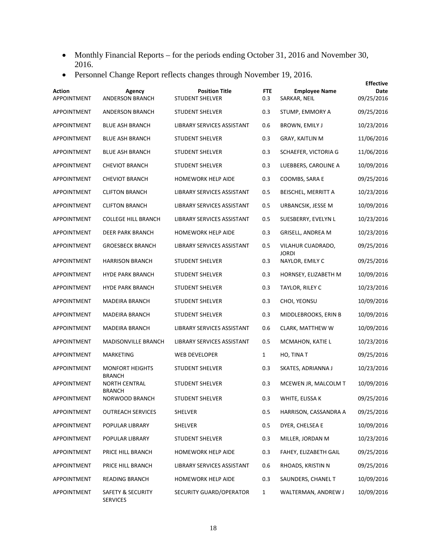- Monthly Financial Reports for the periods ending October 31, 2016 and November 30, 2016.
- Personnel Change Report reflects changes through November 19, 2016.

|                              |                                         |                                                 |                   |                                      | <b>Effective</b>   |
|------------------------------|-----------------------------------------|-------------------------------------------------|-------------------|--------------------------------------|--------------------|
| <b>Action</b><br>APPOINTMENT | Agency<br><b>ANDERSON BRANCH</b>        | <b>Position Title</b><br><b>STUDENT SHELVER</b> | <b>FTE</b><br>0.3 | <b>Employee Name</b><br>SARKAR, NEIL | Date<br>09/25/2016 |
| APPOINTMENT                  | ANDERSON BRANCH                         | <b>STUDENT SHELVER</b>                          | 0.3               | STUMP, EMMORY A                      | 09/25/2016         |
| APPOINTMENT                  | <b>BLUE ASH BRANCH</b>                  | LIBRARY SERVICES ASSISTANT                      | 0.6               | BROWN, EMILY J                       | 10/23/2016         |
| APPOINTMENT                  | <b>BLUE ASH BRANCH</b>                  | <b>STUDENT SHELVER</b>                          | 0.3               | GRAY, KAITLIN M                      | 11/06/2016         |
| APPOINTMENT                  | <b>BLUE ASH BRANCH</b>                  | <b>STUDENT SHELVER</b>                          | 0.3               | SCHAEFER, VICTORIA G                 | 11/06/2016         |
| APPOINTMENT                  | <b>CHEVIOT BRANCH</b>                   | STUDENT SHELVER                                 | 0.3               | LUEBBERS, CAROLINE A                 | 10/09/2016         |
| APPOINTMENT                  | <b>CHEVIOT BRANCH</b>                   | <b>HOMEWORK HELP AIDE</b>                       | 0.3               | COOMBS, SARA E                       | 09/25/2016         |
| APPOINTMENT                  | <b>CLIFTON BRANCH</b>                   | LIBRARY SERVICES ASSISTANT                      | 0.5               | BEISCHEL, MERRITT A                  | 10/23/2016         |
| APPOINTMENT                  | <b>CLIFTON BRANCH</b>                   | LIBRARY SERVICES ASSISTANT                      | 0.5               | URBANCSIK, JESSE M                   | 10/09/2016         |
| APPOINTMENT                  | <b>COLLEGE HILL BRANCH</b>              | LIBRARY SERVICES ASSISTANT                      | 0.5               | SUESBERRY, EVELYN L                  | 10/23/2016         |
| APPOINTMENT                  | DEER PARK BRANCH                        | HOMEWORK HELP AIDE                              | 0.3               | GRISELL, ANDREA M                    | 10/23/2016         |
| APPOINTMENT                  | <b>GROESBECK BRANCH</b>                 | LIBRARY SERVICES ASSISTANT                      | 0.5               | VILAHUR CUADRADO,<br>JORDI           | 09/25/2016         |
| APPOINTMENT                  | <b>HARRISON BRANCH</b>                  | <b>STUDENT SHELVER</b>                          | 0.3               | NAYLOR, EMILY C                      | 09/25/2016         |
| APPOINTMENT                  | <b>HYDE PARK BRANCH</b>                 | <b>STUDENT SHELVER</b>                          | 0.3               | HORNSEY, ELIZABETH M                 | 10/09/2016         |
| APPOINTMENT                  | <b>HYDE PARK BRANCH</b>                 | <b>STUDENT SHELVER</b>                          | 0.3               | TAYLOR, RILEY C                      | 10/23/2016         |
| APPOINTMENT                  | MADEIRA BRANCH                          | STUDENT SHELVER                                 | 0.3               | CHOI, YEONSU                         | 10/09/2016         |
| APPOINTMENT                  | MADEIRA BRANCH                          | STUDENT SHELVER                                 | 0.3               | MIDDLEBROOKS, ERIN B                 | 10/09/2016         |
| APPOINTMENT                  | <b>MADEIRA BRANCH</b>                   | LIBRARY SERVICES ASSISTANT                      | 0.6               | CLARK, MATTHEW W                     | 10/09/2016         |
| APPOINTMENT                  | MADISONVILLE BRANCH                     | LIBRARY SERVICES ASSISTANT                      | 0.5               | MCMAHON, KATIE L                     | 10/23/2016         |
| APPOINTMENT                  | MARKETING                               | <b>WEB DEVELOPER</b>                            | $\mathbf{1}$      | HO, TINA T                           | 09/25/2016         |
| APPOINTMENT                  | <b>MONFORT HEIGHTS</b><br><b>BRANCH</b> | <b>STUDENT SHELVER</b>                          | 0.3               | SKATES, ADRIANNA J                   | 10/23/2016         |
| APPOINTMENT                  | <b>NORTH CENTRAL</b>                    | <b>STUDENT SHELVER</b>                          | 0.3               | MCEWEN JR, MALCOLM T                 | 10/09/2016         |
| APPOINTMENT                  | <b>BRANCH</b><br>NORWOOD BRANCH         | STUDENT SHELVER                                 | 0.3               | WHITE, ELISSA K                      | 09/25/2016         |
| APPOINTMENT                  | <b>OUTREACH SERVICES</b>                | SHELVER                                         | 0.5               | HARRISON, CASSANDRA A                | 09/25/2016         |
| APPOINTMENT                  | POPULAR LIBRARY                         | SHELVER                                         | 0.5               | DYER, CHELSEA E                      | 10/09/2016         |
| APPOINTMENT                  | POPULAR LIBRARY                         | STUDENT SHELVER                                 | 0.3               | MILLER, JORDAN M                     | 10/23/2016         |
| APPOINTMENT                  | PRICE HILL BRANCH                       | HOMEWORK HELP AIDE                              | 0.3               | FAHEY, ELIZABETH GAIL                | 09/25/2016         |
| APPOINTMENT                  | PRICE HILL BRANCH                       | LIBRARY SERVICES ASSISTANT                      | 0.6               | RHOADS, KRISTIN N                    | 09/25/2016         |
| APPOINTMENT                  | <b>READING BRANCH</b>                   | HOMEWORK HELP AIDE                              | 0.3               | SAUNDERS, CHANEL T                   | 10/09/2016         |
| APPOINTMENT                  | SAFETY & SECURITY<br><b>SERVICES</b>    | SECURITY GUARD/OPERATOR                         | $\mathbf{1}$      | WALTERMAN, ANDREW J                  | 10/09/2016         |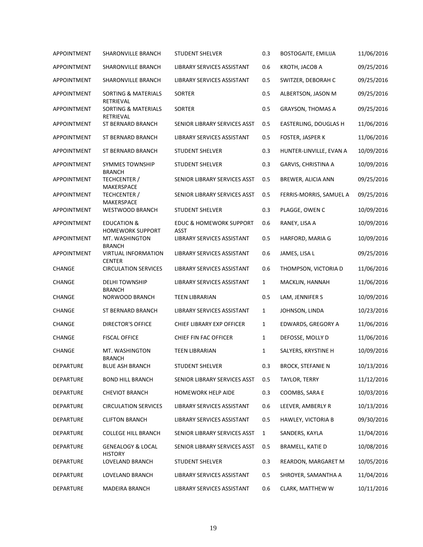| APPOINTMENT   | <b>SHARONVILLE BRANCH</b>                                    | <b>STUDENT SHELVER</b>                    | 0.3          | <b>BOSTOGAITE, EMILIJA</b> | 11/06/2016 |
|---------------|--------------------------------------------------------------|-------------------------------------------|--------------|----------------------------|------------|
| APPOINTMENT   | SHARONVILLE BRANCH                                           | LIBRARY SERVICES ASSISTANT                | 0.6          | KROTH, JACOB A             | 09/25/2016 |
| APPOINTMENT   | SHARONVILLE BRANCH                                           | LIBRARY SERVICES ASSISTANT                | 0.5          | SWITZER, DEBORAH C         | 09/25/2016 |
| APPOINTMENT   | SORTING & MATERIALS<br>RETRIEVAL                             | SORTER                                    | 0.5          | ALBERTSON, JASON M         | 09/25/2016 |
| APPOINTMENT   | <b>SORTING &amp; MATERIALS</b>                               | SORTER                                    | 0.5          | <b>GRAYSON, THOMAS A</b>   | 09/25/2016 |
| APPOINTMENT   | RETRIEVAL<br>ST BERNARD BRANCH                               | SENIOR LIBRARY SERVICES ASST              | 0.5          | EASTERLING, DOUGLAS H      | 11/06/2016 |
| APPOINTMENT   | ST BERNARD BRANCH                                            | LIBRARY SERVICES ASSISTANT                | 0.5          | FOSTER, JASPER K           | 11/06/2016 |
| APPOINTMENT   | ST BERNARD BRANCH                                            | <b>STUDENT SHELVER</b>                    | 0.3          | HUNTER-LINVILLE, EVAN A    | 10/09/2016 |
| APPOINTMENT   | <b>SYMMES TOWNSHIP</b>                                       | <b>STUDENT SHELVER</b>                    | 0.3          | GARVIS, CHRISTINA A        | 10/09/2016 |
| APPOINTMENT   | <b>BRANCH</b><br>TECHCENTER /<br>MAKERSPACE                  | SENIOR LIBRARY SERVICES ASST              | 0.5          | BREWER, ALICIA ANN         | 09/25/2016 |
| APPOINTMENT   | TECHCENTER /<br>MAKERSPACE                                   | SENIOR LIBRARY SERVICES ASST              | 0.5          | FERRIS-MORRIS, SAMUEL A    | 09/25/2016 |
| APPOINTMENT   | <b>WESTWOOD BRANCH</b>                                       | <b>STUDENT SHELVER</b>                    | 0.3          | PLAGGE, OWEN C             | 10/09/2016 |
| APPOINTMENT   | <b>EDUCATION &amp;</b>                                       | <b>EDUC &amp; HOMEWORK SUPPORT</b>        | 0.6          | RANEY, LISA A              | 10/09/2016 |
| APPOINTMENT   | <b>HOMEWORK SUPPORT</b><br>MT. WASHINGTON                    | <b>ASST</b><br>LIBRARY SERVICES ASSISTANT | 0.5          | HARFORD, MARIA G           | 10/09/2016 |
| APPOINTMENT   | <b>BRANCH</b><br><b>VIRTUAL INFORMATION</b><br><b>CENTER</b> | LIBRARY SERVICES ASSISTANT                | 0.6          | JAMES, LISA L              | 09/25/2016 |
| <b>CHANGE</b> | <b>CIRCULATION SERVICES</b>                                  | LIBRARY SERVICES ASSISTANT                | 0.6          | THOMPSON, VICTORIA D       | 11/06/2016 |
| CHANGE        | <b>DELHI TOWNSHIP</b>                                        | LIBRARY SERVICES ASSISTANT                | $\mathbf{1}$ | MACKLIN, HANNAH            | 11/06/2016 |
| CHANGE        | <b>BRANCH</b><br>NORWOOD BRANCH                              | <b>TEEN LIBRARIAN</b>                     | 0.5          | LAM, JENNIFER S            | 10/09/2016 |
| CHANGE        | ST BERNARD BRANCH                                            | LIBRARY SERVICES ASSISTANT                | $\mathbf{1}$ | JOHNSON, LINDA             | 10/23/2016 |
| CHANGE        | <b>DIRECTOR'S OFFICE</b>                                     | CHIEF LIBRARY EXP OFFICER                 | $\mathbf{1}$ | EDWARDS, GREGORY A         | 11/06/2016 |
| CHANGE        | <b>FISCAL OFFICE</b>                                         | CHIEF FIN FAC OFFICER                     | $\mathbf{1}$ | DEFOSSE, MOLLY D           | 11/06/2016 |
| CHANGE        | MT. WASHINGTON<br><b>BRANCH</b>                              | <b>TEEN LIBRARIAN</b>                     | $\mathbf{1}$ | SALYERS, KRYSTINE H        | 10/09/2016 |
| DEPARTURE     | BLUE ASH BRANCH                                              | <b>STUDENT SHELVER</b>                    | 0.3          | <b>BROCK, STEFANIE N</b>   | 10/13/2016 |
| DEPARTURE     | <b>BOND HILL BRANCH</b>                                      | SENIOR LIBRARY SERVICES ASST              | 0.5          | TAYLOR, TERRY              | 11/12/2016 |
| DEPARTURE     | <b>CHEVIOT BRANCH</b>                                        | HOMEWORK HELP AIDE                        | 0.3          | COOMBS, SARA E             | 10/03/2016 |
| DEPARTURE     | <b>CIRCULATION SERVICES</b>                                  | LIBRARY SERVICES ASSISTANT                | 0.6          | LEEVER, AMBERLY R          | 10/13/2016 |
| DEPARTURE     | <b>CLIFTON BRANCH</b>                                        | LIBRARY SERVICES ASSISTANT                | 0.5          | HAWLEY, VICTORIA B         | 09/30/2016 |
| DEPARTURE     | <b>COLLEGE HILL BRANCH</b>                                   | SENIOR LIBRARY SERVICES ASST              | $\mathbf{1}$ | SANDERS, KAYLA             | 11/04/2016 |
| DEPARTURE     | <b>GENEALOGY &amp; LOCAL</b><br><b>HISTORY</b>               | SENIOR LIBRARY SERVICES ASST              | 0.5          | BRAMELL, KATIE D           | 10/08/2016 |
| DEPARTURE     | LOVELAND BRANCH                                              | <b>STUDENT SHELVER</b>                    | 0.3          | REARDON, MARGARET M        | 10/05/2016 |
| DEPARTURE     | LOVELAND BRANCH                                              | LIBRARY SERVICES ASSISTANT                | 0.5          | SHROYER, SAMANTHA A        | 11/04/2016 |
| DEPARTURE     | MADEIRA BRANCH                                               | LIBRARY SERVICES ASSISTANT                | 0.6          | CLARK, MATTHEW W           | 10/11/2016 |